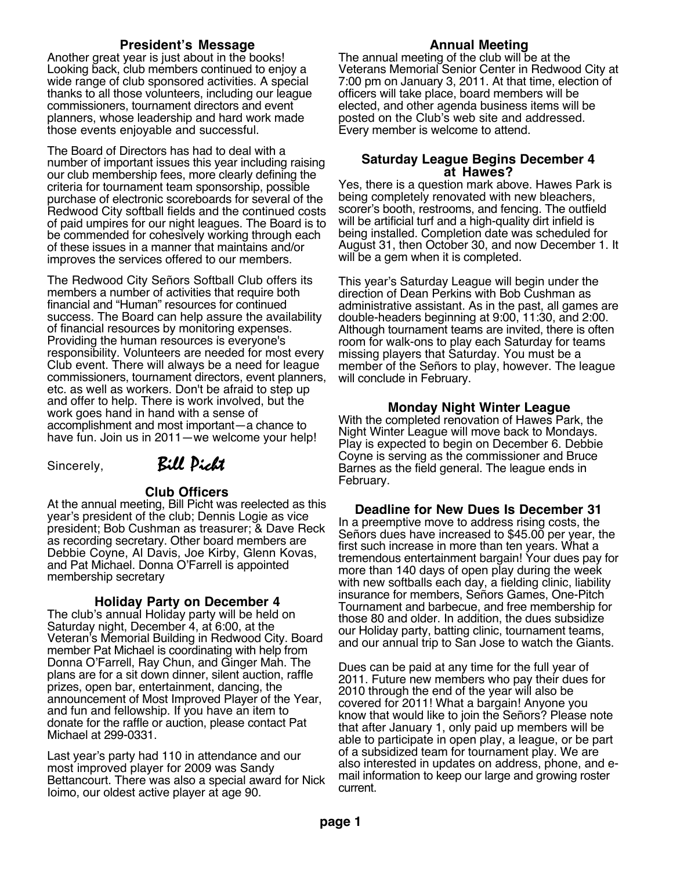# **President's Message**

Another great year is just about in the books! Looking back, club members continued to enjoy a wide range of club sponsored activities. A special thanks to all those volunteers, including our league commissioners, tournament directors and event planners, whose leadership and hard work made those events enjoyable and successful.

The Board of Directors has had to deal with a number of important issues this year including raising our club membership fees, more clearly defining the criteria for tournament team sponsorship, possible purchase of electronic scoreboards for several of the Redwood City softball fields and the continued costs of paid umpires for our night leagues. The Board is to be commended for cohesively working through each of these issues in a manner that maintains and/or improves the services offered to our members.

The Redwood City Señors Softball Club offers its members a number of activities that require both financial and "Human" resources for continued success. The Board can help assure the availability of financial resources by monitoring expenses. Providing the human resources is everyone's responsibility. Volunteers are needed for most every Club event. There will always be a need for league commissioners, tournament directors, event planners, etc. as well as workers. Don't be afraid to step up and offer to help. There is work involved, but the work goes hand in hand with a sense of accomplishment and most important—a chance to have fun. Join us in 2011—we welcome your help!

# Sincerely,Bill Picht

# **Club Officers**

At the annual meeting, Bill Picht was reelected as this year's president of the club; Dennis Logie as vice president; Bob Cushman as treasurer; & Dave Reck as recording secretary. Other board members are Debbie Coyne, Al Davis, Joe Kirby, Glenn Kovas, and Pat Michael. Donna O'Farrell is appointed membership secretary

# **Holiday Party on December 4**

The club's annual Holiday party will be held on Saturday night, December 4, at 6:00, at the Veteran's Memorial Building in Redwood City. Board member Pat Michael is coordinating with help from Donna O'Farrell, Ray Chun, and Ginger Mah. The plans are for a sit down dinner, silent auction, raffle prizes, open bar, entertainment, dancing, the announcement of Most Improved Player of the Year, and fun and fellowship. If you have an item to donate for the raffle or auction, please contact Pat Michael at 299-0331.

Last year's party had 110 in attendance and our most improved player for 2009 was Sandy Bettancourt. There was also a special award for Nick Ioimo, our oldest active player at age 90.

# **Annual Meeting**

The annual meeting of the club will be at the Veterans Memorial Senior Center in Redwood City at 7:00 pm on January 3, 2011. At that time, election of officers will take place, board members will be elected, and other agenda business items will be posted on the Club's web site and addressed. Every member is welcome to attend.

#### **Saturday League Begins December 4 at Hawes?**

Yes, there is a question mark above. Hawes Park is being completely renovated with new bleachers, scorer's booth, restrooms, and fencing. The outfield will be artificial turf and a high-quality dirt infield is being installed. Completion date was scheduled for August 31, then October 30, and now December 1. It will be a gem when it is completed.

This year's Saturday League will begin under the direction of Dean Perkins with Bob Cushman as administrative assistant. As in the past, all games are double-headers beginning at 9:00, 11:30, and 2:00. Although tournament teams are invited, there is often room for walk-ons to play each Saturday for teams missing players that Saturday. You must be a member of the Señors to play, however. The league will conclude in February.

# **Monday Night Winter League**

With the completed renovation of Hawes Park, the Night Winter League will move back to Mondays. Play is expected to begin on December 6. Debbie Coyne is serving as the commissioner and Bruce Barnes as the field general. The league ends in February.

#### **Deadline for New Dues Is December 31** In a preemptive move to address rising costs, the Señors dues have increased to \$45.00 per year, the first such increase in more than ten years. What a tremendous entertainment bargain! Your dues pay for more than 140 days of open play during the week with new softballs each day, a fielding clinic, liability insurance for members, Señors Games, One-Pitch Tournament and barbecue, and free membership for those 80 and older. In addition, the dues subsidize our Holiday party, batting clinic, tournament teams, and our annual trip to San Jose to watch the Giants.

Dues can be paid at any time for the full year of 2011. Future new members who pay their dues for 2010 through the end of the year will also be covered for 2011! What a bargain! Anyone you know that would like to join the Señors? Please note that after January 1, only paid up members will be able to participate in open play, a league, or be part of a subsidized team for tournament play. We are also interested in updates on address, phone, and email information to keep our large and growing roster current.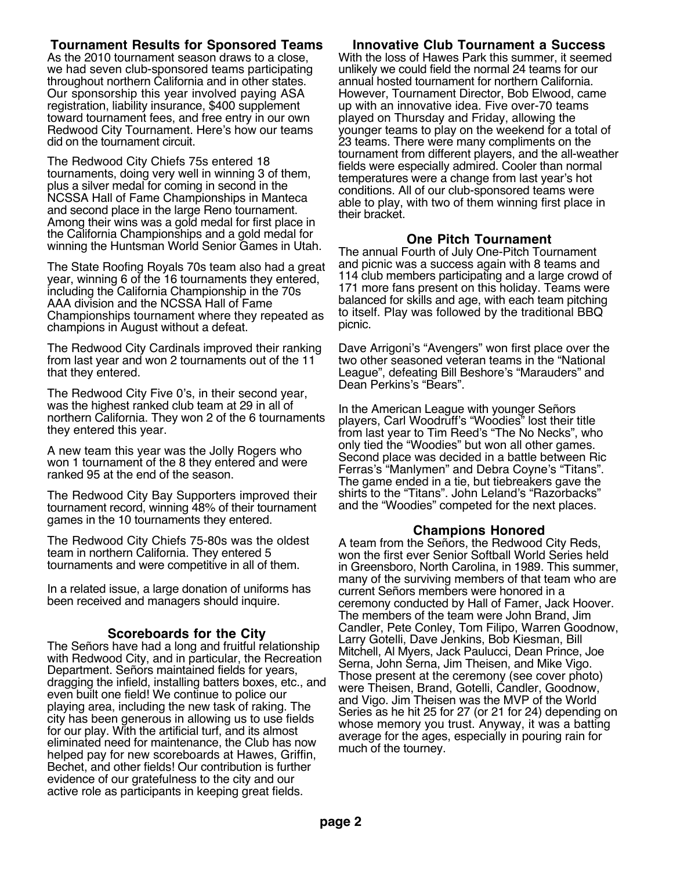# **Tournament Results for Sponsored Teams**

As the 2010 tournament season draws to a close, we had seven club-sponsored teams participating throughout northern California and in other states. Our sponsorship this year involved paying ASA registration, liability insurance, \$400 supplement toward tournament fees, and free entry in our own Redwood City Tournament. Here's how our teams did on the tournament circuit.

The Redwood City Chiefs 75s entered 18 tournaments, doing very well in winning 3 of them, plus a silver medal for coming in second in the NCSSA Hall of Fame Championships in Manteca and second place in the large Reno tournament. Among their wins was a gold medal for first place in the California Championships and a gold medal for winning the Huntsman World Senior Games in Utah.

The State Roofing Royals 70s team also had a great year, winning 6 of the 16 tournaments they entered, including the California Championship in the 70s AAA division and the NCSSA Hall of Fame Championships tournament where they repeated as champions in August without a defeat.

The Redwood City Cardinals improved their ranking from last year and won 2 tournaments out of the 11 that they entered.

The Redwood City Five 0's, in their second year, was the highest ranked club team at 29 in all of northern California. They won 2 of the 6 tournaments they entered this year.

A new team this year was the Jolly Rogers who won 1 tournament of the 8 they entered and were ranked 95 at the end of the season.

The Redwood City Bay Supporters improved their tournament record, winning 48% of their tournament games in the 10 tournaments they entered.

The Redwood City Chiefs 75-80s was the oldest team in northern California. They entered 5 tournaments and were competitive in all of them.

In a related issue, a large donation of uniforms has been received and managers should inquire.

#### **Scoreboards for the City**

The Señors have had a long and fruitful relationship with Redwood City, and in particular, the Recreation Department. Señors maintained fields for years, dragging the infield, installing batters boxes, etc., and even built one field! We continue to police our playing area, including the new task of raking. The city has been generous in allowing us to use fields for our play. With the artificial turf, and its almost eliminated need for maintenance, the Club has now helped pay for new scoreboards at Hawes, Griffin, Bechet, and other fields! Our contribution is further evidence of our gratefulness to the city and our active role as participants in keeping great fields.

**Innovative Club Tournament a Success** With the loss of Hawes Park this summer, it seemed unlikely we could field the normal 24 teams for our annual hosted tournament for northern California. However, Tournament Director, Bob Elwood, came up with an innovative idea. Five over-70 teams played on Thursday and Friday, allowing the younger teams to play on the weekend for a total of 23 teams. There were many compliments on the tournament from different players, and the all-weather fields were especially admired. Cooler than normal temperatures were a change from last year's hot conditions. All of our club-sponsored teams were able to play, with two of them winning first place in their bracket.

#### **One Pitch Tournament**

The annual Fourth of July One-Pitch Tournament and picnic was a success again with 8 teams and 114 club members participating and a large crowd of 171 more fans present on this holiday. Teams were balanced for skills and age, with each team pitching to itself. Play was followed by the traditional BBQ picnic.

Dave Arrigoni's "Avengers" won first place over the two other seasoned veteran teams in the "National League", defeating Bill Beshore's "Marauders" and Dean Perkins's "Bears".

In the American League with younger Señors players, Carl Woodruff's "Woodies" lost their title from last year to Tim Reed's "The No Necks", who only tied the "Woodies" but won all other games. Second place was decided in a battle between Ric Ferras's "Manlymen" and Debra Coyne's "Titans". The game ended in a tie, but tiebreakers gave the shirts to the "Titans". John Leland's "Razorbacks" and the "Woodies" competed for the next places.

#### **Champions Honored**

A team from the Señors, the Redwood City Reds, won the first ever Senior Softball World Series held in Greensboro, North Carolina, in 1989. This summer, many of the surviving members of that team who are current Señors members were honored in a ceremony conducted by Hall of Famer, Jack Hoover. The members of the team were John Brand, Jim Candler, Pete Conley, Tom Filipo, Warren Goodnow, Larry Gotelli, Dave Jenkins, Bob Kiesman, Bill Mitchell, Al Myers, Jack Paulucci, Dean Prince, Joe Serna, John Serna, Jim Theisen, and Mike Vigo. Those present at the ceremony (see cover photo) were Theisen, Brand, Gotelli, Candler, Goodnow, and Vigo. Jim Theisen was the MVP of the World Series as he hit 25 for 27 (or 21 for 24) depending on whose memory you trust. Anyway, it was a batting average for the ages, especially in pouring rain for much of the tourney.